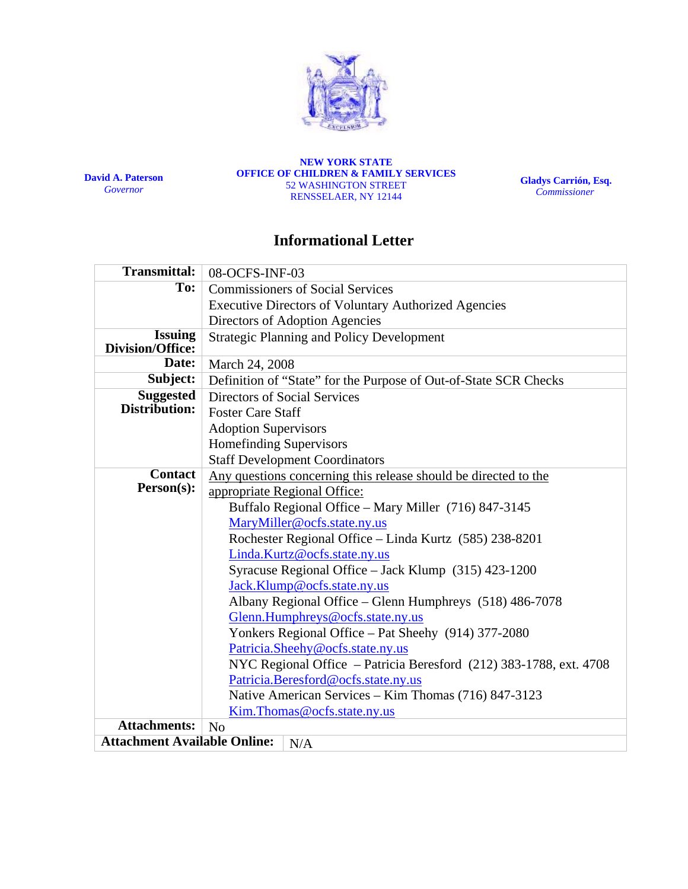

**David A. Paterson**  *Governor*

**NEW YORK STATE OFFICE OF CHILDREN & FAMILY SERVICES**  52 WASHINGTON STREET RENSSELAER, NY 12144

**Gladys Carrión, Esq.**   *Commissioner*

# **Informational Letter**

| <b>Transmittal:</b>                       | 08-OCFS-INF-03                                                     |  |  |  |  |  |
|-------------------------------------------|--------------------------------------------------------------------|--|--|--|--|--|
| To:                                       | <b>Commissioners of Social Services</b>                            |  |  |  |  |  |
|                                           | <b>Executive Directors of Voluntary Authorized Agencies</b>        |  |  |  |  |  |
|                                           | Directors of Adoption Agencies                                     |  |  |  |  |  |
| <b>Issuing</b><br><b>Division/Office:</b> | <b>Strategic Planning and Policy Development</b>                   |  |  |  |  |  |
| Date:                                     | March 24, 2008                                                     |  |  |  |  |  |
| Subject:                                  | Definition of "State" for the Purpose of Out-of-State SCR Checks   |  |  |  |  |  |
| <b>Suggested</b>                          | Directors of Social Services                                       |  |  |  |  |  |
| Distribution:                             | <b>Foster Care Staff</b>                                           |  |  |  |  |  |
|                                           | <b>Adoption Supervisors</b>                                        |  |  |  |  |  |
|                                           | <b>Homefinding Supervisors</b>                                     |  |  |  |  |  |
|                                           | <b>Staff Development Coordinators</b>                              |  |  |  |  |  |
| <b>Contact</b>                            | Any questions concerning this release should be directed to the    |  |  |  |  |  |
| Person(s):                                | appropriate Regional Office:                                       |  |  |  |  |  |
|                                           | Buffalo Regional Office - Mary Miller (716) 847-3145               |  |  |  |  |  |
|                                           | MaryMiller@ocfs.state.ny.us                                        |  |  |  |  |  |
|                                           | Rochester Regional Office - Linda Kurtz (585) 238-8201             |  |  |  |  |  |
|                                           | Linda.Kurtz@ocfs.state.ny.us                                       |  |  |  |  |  |
|                                           | Syracuse Regional Office - Jack Klump (315) 423-1200               |  |  |  |  |  |
|                                           | Jack.Klump@ocfs.state.ny.us                                        |  |  |  |  |  |
|                                           | Albany Regional Office - Glenn Humphreys (518) 486-7078            |  |  |  |  |  |
|                                           | Glenn.Humphreys@ocfs.state.ny.us                                   |  |  |  |  |  |
|                                           | Yonkers Regional Office - Pat Sheehy (914) 377-2080                |  |  |  |  |  |
|                                           | Patricia.Sheehy@ocfs.state.ny.us                                   |  |  |  |  |  |
|                                           | NYC Regional Office - Patricia Beresford (212) 383-1788, ext. 4708 |  |  |  |  |  |
|                                           | Patricia.Beresford@ocfs.state.ny.us                                |  |  |  |  |  |
|                                           | Native American Services - Kim Thomas (716) 847-3123               |  |  |  |  |  |
|                                           | Kim.Thomas@ocfs.state.ny.us                                        |  |  |  |  |  |
| <b>Attachments:</b>                       | No                                                                 |  |  |  |  |  |
| <b>Attachment Available Online:</b>       | N/A                                                                |  |  |  |  |  |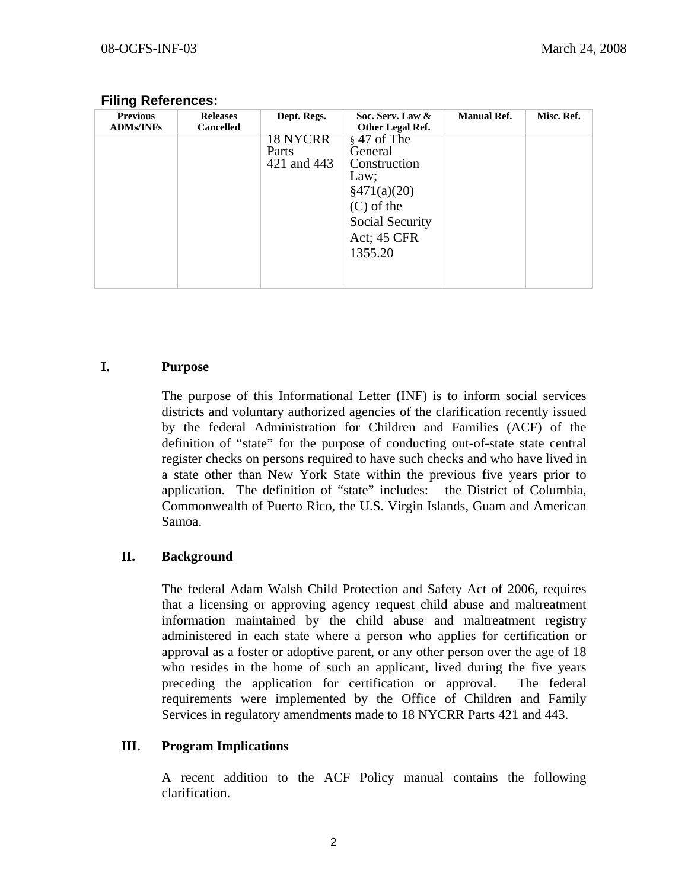| <b>Previous</b><br><b>ADMs/INFs</b> | <b>Releases</b><br><b>Cancelled</b> | Dept. Regs.                             | Soc. Serv. Law &<br>Other Legal Ref.                                                                                                               | <b>Manual Ref.</b> | Misc. Ref. |
|-------------------------------------|-------------------------------------|-----------------------------------------|----------------------------------------------------------------------------------------------------------------------------------------------------|--------------------|------------|
|                                     |                                     | <b>18 NYCRR</b><br>Parts<br>421 and 443 | $\frac{1}{2}$ 47 of The<br>General<br>Construction<br>Law;<br>$\frac{$471(a)(20)}{2}$<br>$(C)$ of the<br>Social Security<br>Act; 45 CFR<br>1355.20 |                    |            |

#### **Filing References:**

### **I. Purpose**

The purpose of this Informational Letter (INF) is to inform social services districts and voluntary authorized agencies of the clarification recently issued by the federal Administration for Children and Families (ACF) of the definition of "state" for the purpose of conducting out-of-state state central register checks on persons required to have such checks and who have lived in a state other than New York State within the previous five years prior to application. The definition of "state" includes: the District of Columbia, Commonwealth of Puerto Rico, the U.S. Virgin Islands, Guam and American Samoa.

## **II. Background**

The federal Adam Walsh Child Protection and Safety Act of 2006, requires that a licensing or approving agency request child abuse and maltreatment information maintained by the child abuse and maltreatment registry administered in each state where a person who applies for certification or approval as a foster or adoptive parent, or any other person over the age of 18 who resides in the home of such an applicant, lived during the five years preceding the application for certification or approval. The federal requirements were implemented by the Office of Children and Family Services in regulatory amendments made to 18 NYCRR Parts 421 and 443.

## **III. Program Implications**

A recent addition to the ACF Policy manual contains the following clarification.